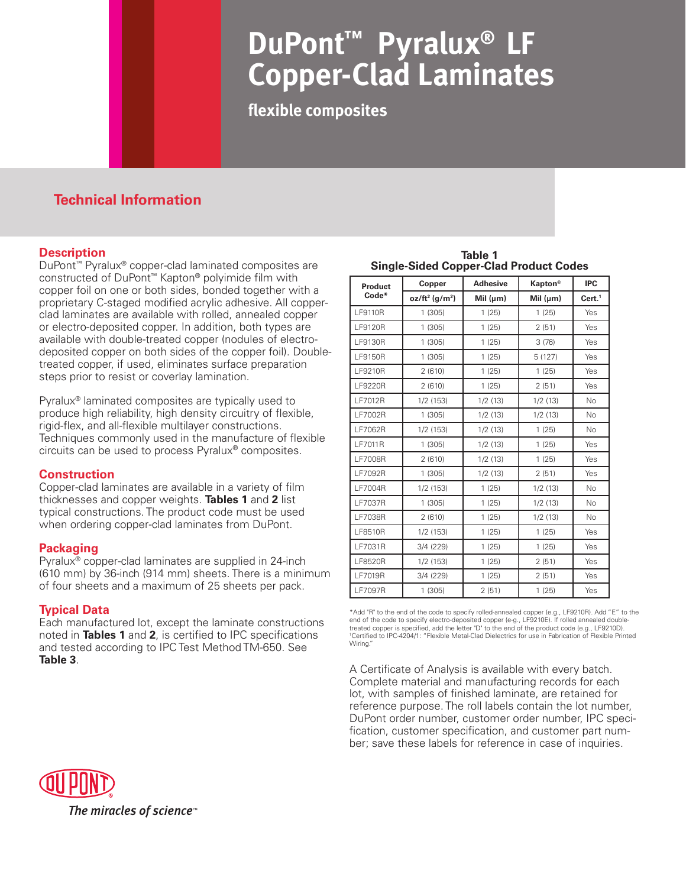# **DuPont™ Pyralux® LF Copper-Clad Laminates**

**flexible composites**

# **Technical Information**

## **Description**

DuPont™ Pyralux® copper-clad laminated composites are constructed of DuPont™ Kapton® polyimide film with copper foil on one or both sides, bonded together with a proprietary C-staged modified acrylic adhesive. All copperclad laminates are available with rolled, annealed copper or electro-deposited copper. In addition, both types are available with double-treated copper (nodules of electrodeposited copper on both sides of the copper foil). Doubletreated copper, if used, eliminates surface preparation steps prior to resist or coverlay lamination.

Pyralux® laminated composites are typically used to produce high reliability, high density circuitry of flexible, rigid-flex, and all-flexible multilayer constructions. Techniques commonly used in the manufacture of flexible circuits can be used to process Pyralux® composites.

## **Construction**

Copper-clad laminates are available in a variety of film thicknesses and copper weights. **Tables 1** and **2** list typical constructions. The product code must be used when ordering copper-clad laminates from DuPont.

## **Packaging**

Pyralux® copper-clad laminates are supplied in 24-inch (610 mm) by 36-inch (914 mm) sheets. There is a minimum of four sheets and a maximum of 25 sheets per pack.

## **Typical Data**

Each manufactured lot, except the laminate constructions noted in **Tables 1** and **2**, is certified to IPC specifications and tested according to IPC Test Method TM-650. See<br>Table 3.

**Table 1 Single-Sided Copper-Clad Product Codes**

| <b>Product</b> | Copper                        | <b>Adhesive</b> | <b>Kapton®</b> | <b>IPC</b><br>Cert. <sup>1</sup> |  |
|----------------|-------------------------------|-----------------|----------------|----------------------------------|--|
| Code*          | $oz/ft^2$ (g/m <sup>2</sup> ) | Mil $(\mu m)$   | Mil $(\mu m)$  |                                  |  |
| <b>LF9110R</b> | 1(305)                        | 1(25)           | 1(25)          | Yes                              |  |
| <b>LF9120R</b> | 1(305)                        | 1(25)           | 2(51)          | Yes                              |  |
| <b>LF9130R</b> | 1(305)                        | 1(25)           | 3(76)          | Yes                              |  |
| LF9150R        | 1(305)                        | 1(25)           | 5 (127)        | Yes                              |  |
| LF9210R        | 2(610)                        | 1(25)           | 1(25)          | Yes                              |  |
| <b>LF9220R</b> | 2(610)                        | 1(25)           | 2(51)          | Yes                              |  |
| <b>LF7012R</b> | 1/2(153)                      | 1/2(13)         | 1/2(13)        | <b>No</b>                        |  |
| LF7002R        | 1(305)                        | 1/2(13)         | 1/2(13)        | No                               |  |
| <b>LF7062R</b> | 1/2(153)                      | 1/2(13)         | 1(25)          | No.                              |  |
| <b>LF7011R</b> | 1(305)                        | 1/2(13)         | 1(25)          | Yes                              |  |
| <b>LF7008R</b> | 2(610)                        | 1/2(13)         | 1(25)          | Yes                              |  |
| <b>LF7092R</b> | 1(305)                        | 1/2(13)         | 2(51)          | Yes                              |  |
| <b>LF7004R</b> | 1/2(153)                      | 1(25)           | 1/2(13)        | No                               |  |
| <b>LF7037R</b> | 1(305)                        | 1(25)           | 1/2(13)        | No                               |  |
| <b>LF7038R</b> | 2(610)                        | 1(25)           | 1/2(13)        | No                               |  |
| LF8510R        | 1/2(153)                      | 1(25)           | 1(25)          | Yes                              |  |
| LF7031R        | 3/4 (229)                     | 1(25)           | 1(25)          | Yes                              |  |
| LF8520R        | 1/2(153)                      | 1(25)           | 2(51)          | Yes                              |  |
| <b>LF7019R</b> | 3/4 (229)                     | 1(25)           | 2(51)          | Yes                              |  |
| <b>LF7097R</b> | 1(305)                        | 2(51)           | 1(25)          | Yes                              |  |

\*Add "R" to the end of the code to specify rolled-annealed copper (e.g., LF9210R). Add "E" to the end of the code to specify electro-deposited copper (e-g., LF9210E). If rolled annealed doubletreated copper is specified, add the letter "D" to the end of the product code (e.g., LF9210D). 1 Certified to IPC-4204/1: "Flexible Metal-Clad Dielectrics for use in Fabrication of Flexible Printed Wiring."

**Table 3**. A Certificate of Analysis is available with every batch. Complete material and manufacturing records for each lot, with samples of finished laminate, are retained for reference purpose. The roll labels contain the lot number, DuPont order number, customer order number, IPC specification, customer specification, and customer part number; save these labels for reference in case of inquiries.

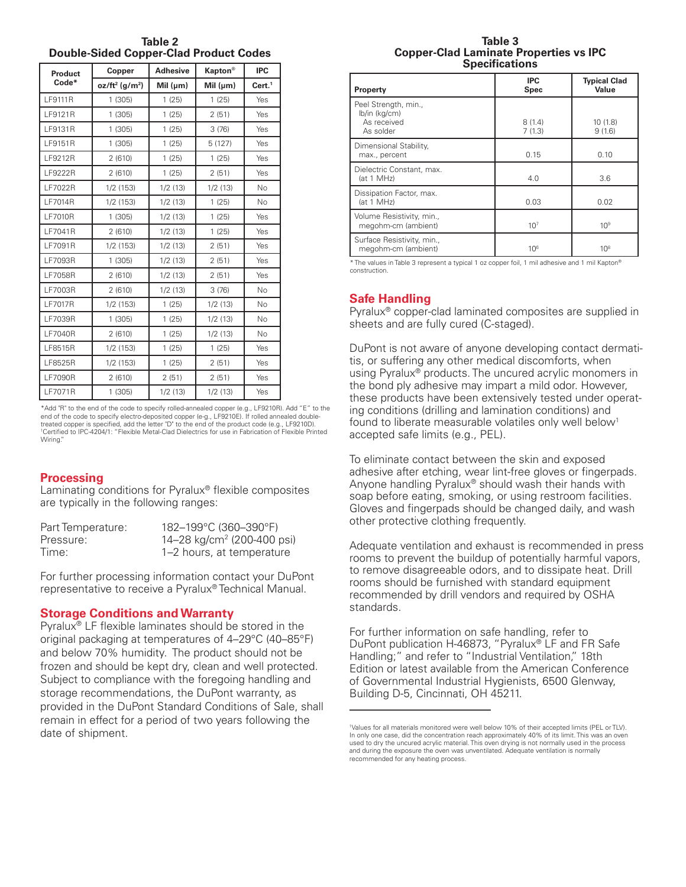**Table 2 Double-Sided Copper-Clad Product Codes**

| <b>Product</b> | Copper                        | <b>Adhesive</b> | <b>Kapton®</b> | <b>IPC</b>         |
|----------------|-------------------------------|-----------------|----------------|--------------------|
| Code*          | $oz/ft^2$ (g/m <sup>2</sup> ) | Mil $(\mu m)$   | Mil $(\mu m)$  | Cert. <sup>1</sup> |
| <b>LF9111R</b> | 1(305)                        | 1(25)           | 1(25)          | Yes                |
| LF9121R        | 1(305)                        | 1(25)           | 2(51)          | Yes                |
| LF9131R        | 1(305)                        | 1(25)           | 3(76)          | Yes                |
| LF9151R        | 1(305)                        | 1(25)           | 5(127)         | Yes                |
| LF9212R        | 2(610)                        | 1(25)           | 1(25)          | Yes                |
| <b>LF9222R</b> | 2(610)                        | 1(25)           | 2(51)          | Yes                |
| LF7022R        | 1/2 (153)                     | 1/2(13)         | 1/2(13)        | No                 |
| LF7014R        | 1/2(153)                      | 1/2(13)         | 1(25)          | No                 |
| <b>LF7010R</b> | 1(305)                        | 1/2(13)         | 1(25)          | Yes                |
| LF7041R        | 2(610)                        | 1/2(13)         | 1(25)          | Yes                |
| LF7091R        | 1/2 (153)                     | 1/2(13)         | 2(51)          | Yes                |
| LF7093R        | 1(305)                        | 1/2(13)         | 2(51)          | Yes                |
| <b>LF7058R</b> | 2(610)                        | 1/2(13)         | 2(51)          | Yes                |
| LF7003R        | 2(610)                        | 1/2(13)         | 3(76)          | <b>No</b>          |
| <b>LF7017R</b> | 1/2 (153)                     | 1(25)           | 1/2(13)        | No.                |
| LF7039R        | 1(305)                        | 1(25)           | 1/2(13)        | No                 |
| LF7040R        | 2(610)                        | 1(25)           | 1/2(13)        | No                 |
| LF8515R        | 1/2(153)                      | 1(25)           | 1(25)          | Yes                |
| LF8525R        | 1/2 (153)                     | 1(25)           | 2(51)          | Yes                |
| <b>LF7090R</b> | 2(610)                        | 2(51)           | 2(51)          | Yes                |
| LF7071R        | 1(305)                        | 1/2(13)         | 1/2(13)        | Yes                |

\*Add "R" to the end of the code to specify rolled-annealed copper (e.g., LF9210R). Add "E" to the end of the code to specify electro-deposited copper (e-g., LF9210E). If rolled annealed doubletreated copper is specified, add the letter "D" to the end of the product code (e.g., LF9210D). 1 Certified to IPC-4204/1: "Flexible Metal-Clad Dielectrics for use in Fabrication of Flexible Printed Wiring."

#### **Processing**

Laminating conditions for Pyralux® flexible composites are typically in the following ranges:

| Part Temperature: | 182-199°C (360-390°F)                  |
|-------------------|----------------------------------------|
| Pressure:         | 14–28 kg/cm <sup>2</sup> (200–400 psi) |
| Time:             | 1–2 hours, at temperature              |

For further processing information contact your DuPont representative to receive a Pyralux® Technical Manual.

#### **Storage Conditions and Warranty**

Pyralux® LF flexible laminates should be stored in the original packaging at temperatures of 4–29°C (40–85°F) and below 70% humidity. The product should not be frozen and should be kept dry, clean and well protected. Subject to compliance with the foregoing handling and storage recommendations, the DuPont warranty, as provided in the DuPont Standard Conditions of Sale, shall remain in effect for a period of two years following the date of shipment.

#### **Table 3 Copper-Clad Laminate Properties vs IPC Specifications**

| Property                                                          | <b>IPC</b><br>Spec | <b>Typical Clad</b><br>Value |
|-------------------------------------------------------------------|--------------------|------------------------------|
| Peel Strength, min.,<br>lb/in (kg/cm)<br>As received<br>As solder | 8(1.4)<br>7(1.3)   | 10(1.8)<br>9(1.6)            |
| Dimensional Stability,<br>max., percent                           | 0.15               | 0.10                         |
| Dielectric Constant, max.<br>(at 1 MHz)                           | 4.0                | 3.6                          |
| Dissipation Factor, max.<br>(at 1 MHz)                            | 0.03               | 0.02                         |
| Volume Resistivity, min.,<br>megohm-cm (ambient)                  | 10 <sup>7</sup>    | 10 <sup>9</sup>              |
| Surface Resistivity, min.,<br>megohm-cm (ambient)                 | $10^{6}$           | 10 <sup>8</sup>              |

\* The values in Table 3 represent a typical 1 oz copper foil, 1 mil adhesive and 1 mil Kapton® construction.

## **Safe Handling**

Pyralux® copper-clad laminated composites are supplied in sheets and are fully cured (C-staged).

DuPont is not aware of anyone developing contact dermatitis, or suffering any other medical discomforts, when using Pyralux® products. The uncured acrylic monomers in the bond ply adhesive may impart a mild odor. However, these products have been extensively tested under operating conditions (drilling and lamination conditions) and found to liberate measurable volatiles only well below<sup>1</sup> accepted safe limits (e.g., PEL).

To eliminate contact between the skin and exposed adhesive after etching, wear lint-free gloves or fingerpads. Anyone handling Pyralux® should wash their hands with soap before eating, smoking, or using restroom facilities. Gloves and fingerpads should be changed daily, and wash other protective clothing frequently.

Adequate ventilation and exhaust is recommended in press rooms to prevent the buildup of potentially harmful vapors, to remove disagreeable odors, and to dissipate heat. Drill rooms should be furnished with standard equipment recommended by drill vendors and required by OSHA standards.

For further information on safe handling, refer to DuPont publication H-46873, "Pyralux® LF and FR Safe Handling;" and refer to "Industrial Ventilation," 18th Edition or latest available from the American Conference of Governmental Industrial Hygienists, 6500 Glenway, Building D-5, Cincinnati, OH 45211.

<sup>1</sup> Values for all materials monitored were well below 10% of their accepted limits (PEL or TLV). In only one case, did the concentration reach approximately 40% of its limit. This was an oven used to dry the uncured acrylic material. This oven drying is not normally used in the process and during the exposure the oven was unventilated. Adequate ventilation is normally recommended for any heating process.